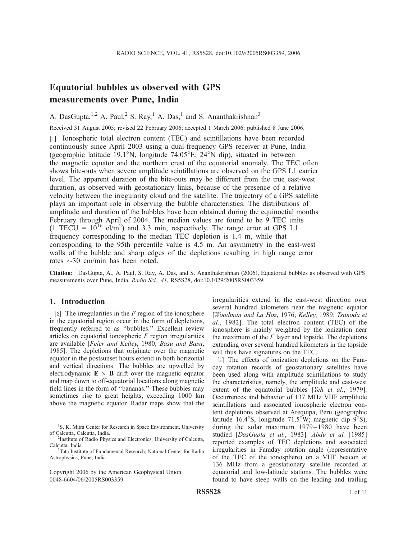# Equatorial bubbles as observed with GPS measurements over Pune, India

A. DasGupta,  $1,2$  A. Paul,  $2$  S. Ray,  $1$  A. Das,  $1$  and S. Ananthakrishnan<sup>3</sup>

Received 31 August 2005; revised 22 February 2006; accepted 1 March 2006; published 8 June 2006.

[1] Ionospheric total electron content (TEC) and scintillations have been recorded continuously since April 2003 using a dual-frequency GPS receiver at Pune, India (geographic latitude 19.1<sup>o</sup>N, longitude  $74.05^{\circ}E$ ;  $24^{\circ}N$  dip), situated in between the magnetic equator and the northern crest of the equatorial anomaly. The TEC often shows bite-outs when severe amplitude scintillations are observed on the GPS L1 carrier level. The apparent duration of the bite-outs may be different from the true east-west duration, as observed with geostationary links, because of the presence of a relative velocity between the irregularity cloud and the satellite. The trajectory of a GPS satellite plays an important role in observing the bubble characteristics. The distributions of amplitude and duration of the bubbles have been obtained during the equinoctial months February through April of 2004. The median values are found to be 9 TEC units  $(1 \text{ TECU} = 10^{16} \text{ el/m}^2)$  and 3.3 min, respectively. The range error at GPS L1 frequency corresponding to the median TEC depletion is 1.4 m, while that corresponding to the 95th percentile value is 4.5 m. An asymmetry in the east-west walls of the bubble and sharp edges of the depletions resulting in high range error rates  $\sim$ 30 cm/min has been noted.

Citation: DasGupta, A., A. Paul, S. Ray, A. Das, and S. Ananthakrishnan (2006), Equatorial bubbles as observed with GPS measurements over Pune, India, Radio Sci., 41, RS5S28, doi:10.1029/2005RS003359.

# 1. Introduction

[2] The irregularities in the  $F$  region of the ionosphere in the equatorial region occur in the form of depletions, frequently referred to as ''bubbles.'' Excellent review articles on equatorial ionospheric  $F$  region irregularities are available [Fejer and Kelley, 1980; Basu and Basu, 1985]. The depletions that originate over the magnetic equator in the postsunset hours extend in both horizontal and vertical directions. The bubbles are upwelled by electrodynamic  $\mathbf{E} \times \mathbf{B}$  drift over the magnetic equator and map down to off-equatorial locations along magnetic field lines in the form of ''bananas.'' These bubbles may sometimes rise to great heights, exceeding 1000 km above the magnetic equator. Radar maps show that the irregularities extend in the east-west direction over several hundred kilometers near the magnetic equator [Woodman and La Hoz, 1976; Kelley, 1989; Tsunoda et al., 1982]. The total electron content (TEC) of the ionosphere is mainly weighted by the ionization near the maximum of the  $F$  layer and topside. The depletions extending over several hundred kilometers in the topside will thus have signatures on the TEC.

[3] The effects of ionization depletions on the Faraday rotation records of geostationary satellites have been used along with amplitude scintillations to study the characteristics, namely, the amplitude and east-west extent of the equatorial bubbles [Yeh et al., 1979]. Occurrences and behavior of 137 MHz VHF amplitude scintillations and associated ionospheric electron content depletions observed at Arequipa, Peru (geographic latitude 16.4°S, longitude 71.5°W; magnetic dip  $9^{\circ}$ S), during the solar maximum 1979– 1980 have been studied [DasGupta et al., 1983]. Abdu et al. [1985] reported examples of TEC depletions and associated irregularities in Faraday rotation angle (representative of the TEC of the ionosphere) on a VHF beacon at 136 MHz from a geostationary satellite recorded at equatorial and low-latitude stations. The bubbles were found to have steep walls on the leading and trailing

<sup>&</sup>lt;sup>1</sup>S. K. Mitra Center for Research in Space Environment, University of Calcutta, Calcutta, India.

<sup>&</sup>lt;sup>2</sup>Institute of Radio Physics and Electronics, University of Calcutta, Calcutta, India.

<sup>&</sup>lt;sup>3</sup>Tata Institute of Fundamental Research, National Center for Radio Astrophysics, Pune, India.

Copyright 2006 by the American Geophysical Union. 0048-6604/06/2005RS003359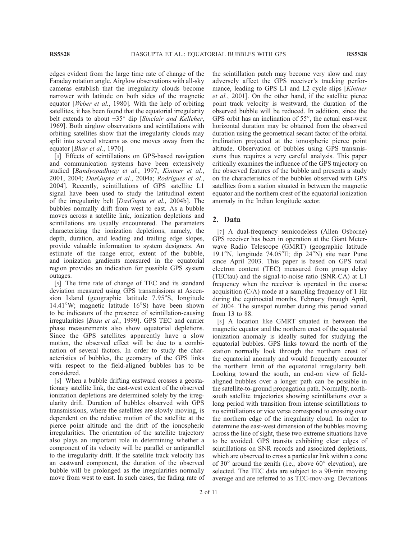edges evident from the large time rate of change of the Faraday rotation angle. Airglow observations with all-sky cameras establish that the irregularity clouds become narrower with latitude on both sides of the magnetic equator [Weber et al., 1980]. With the help of orbiting satellites, it has been found that the equatorial irregularity belt extends to about  $\pm 35^\circ$  dip [Sinclair and Kelleher, 1969]. Both airglow observations and scintillations with orbiting satellites show that the irregularity clouds may split into several streams as one moves away from the equator [Bhar et al., 1970].

[4] Effects of scintillations on GPS-based navigation and communication systems have been extensively studied [Bandyopadhyay et al., 1997; Kintner et al., 2001, 2004; DasGupta et al., 2004a; Rodrigues et al., 2004]. Recently, scintillations of GPS satellite L1 signal have been used to study the latitudinal extent of the irregularity belt [DasGupta et al., 2004b]. The bubbles normally drift from west to east. As a bubble moves across a satellite link, ionization depletions and scintillations are usually encountered. The parameters characterizing the ionization depletions, namely, the depth, duration, and leading and trailing edge slopes, provide valuable information to system designers. An estimate of the range error, extent of the bubble, and ionization gradients measured in the equatorial region provides an indication for possible GPS system outages.

[5] The time rate of change of TEC and its standard deviation measured using GPS transmissions at Ascension Island (geographic latitude 7.95°S, longitude 14.41°W; magnetic latitude  $16^{\circ}$ S) have been shown to be indicators of the presence of scintillation-causing irregularities [Basu et al., 1999]. GPS TEC and carrier phase measurements also show equatorial depletions. Since the GPS satellites apparently have a slow motion, the observed effect will be due to a combination of several factors. In order to study the characteristics of bubbles, the geometry of the GPS links with respect to the field-aligned bubbles has to be considered.

[6] When a bubble drifting eastward crosses a geostationary satellite link, the east-west extent of the observed ionization depletions are determined solely by the irregularity drift. Duration of bubbles observed with GPS transmissions, where the satellites are slowly moving, is dependent on the relative motion of the satellite at the pierce point altitude and the drift of the ionospheric irregularities. The orientation of the satellite trajectory also plays an important role in determining whether a component of its velocity will be parallel or antiparallel to the irregularity drift. If the satellite track velocity has an eastward component, the duration of the observed bubble will be prolonged as the irregularities normally move from west to east. In such cases, the fading rate of the scintillation patch may become very slow and may adversely affect the GPS receiver's tracking performance, leading to GPS L1 and L2 cycle slips [Kintner et al., 2001]. On the other hand, if the satellite pierce point track velocity is westward, the duration of the observed bubble will be reduced. In addition, since the GPS orbit has an inclination of  $55^{\circ}$ , the actual east-west horizontal duration may be obtained from the observed duration using the geometrical secant factor of the orbital inclination projected at the ionospheric pierce point altitude. Observation of bubbles using GPS transmissions thus requires a very careful analysis. This paper critically examines the influence of the GPS trajectory on the observed features of the bubble and presents a study on the characteristics of the bubbles observed with GPS satellites from a station situated in between the magnetic equator and the northern crest of the equatorial ionization anomaly in the Indian longitude sector.

## 2. Data

[7] A dual-frequency semicodeless (Allen Osborne) GPS receiver has been in operation at the Giant Meterwave Radio Telescope (GMRT) (geographic latitude 19.1°N, longitude 74.05°E; dip  $24^\circ$ N) site near Pune since April 2003. This paper is based on GPS total electron content (TEC) measured from group delay (TECtau) and the signal-to-noise ratio (SNR-CA) at L1 frequency when the receiver is operated in the coarse acquisition (C/A) mode at a sampling frequency of 1 Hz during the equinoctial months, February through April, of 2004. The sunspot number during this period varied from 13 to 88.

[8] A location like GMRT situated in between the magnetic equator and the northern crest of the equatorial ionization anomaly is ideally suited for studying the equatorial bubbles. GPS links toward the north of the station normally look through the northern crest of the equatorial anomaly and would frequently encounter the northern limit of the equatorial irregularity belt. Looking toward the south, an end-on view of fieldaligned bubbles over a longer path can be possible in the satellite-to-ground propagation path. Normally, northsouth satellite trajectories showing scintillations over a long period with transition from intense scintillations to no scintillations or vice versa correspond to crossing over the northern edge of the irregularity cloud. In order to determine the east-west dimension of the bubbles moving across the line of sight, these two extreme situations have to be avoided. GPS transits exhibiting clear edges of scintillations on SNR records and associated depletions, which are observed to cross a particular link within a cone of  $30^{\circ}$  around the zenith (i.e., above  $60^{\circ}$  elevation), are selected. The TEC data are subject to a 90-min moving average and are referred to as TEC-mov-avg. Deviations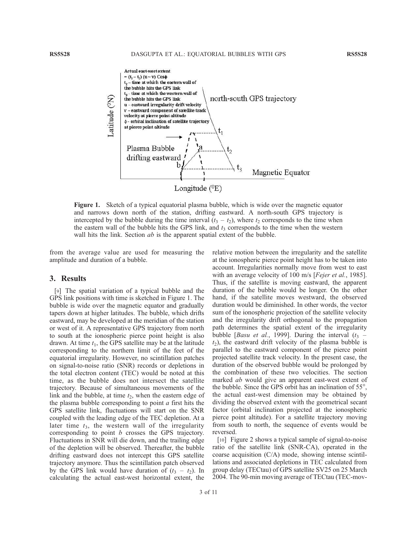

Figure 1. Sketch of a typical equatorial plasma bubble, which is wide over the magnetic equator and narrows down north of the station, drifting eastward. A north-south GPS trajectory is intercepted by the bubble during the time interval  $(t_3 - t_2)$ , where  $t_2$  corresponds to the time when the eastern wall of the bubble hits the GPS link, and  $t_3$  corresponds to the time when the western wall hits the link. Section *ab* is the apparent spatial extent of the bubble.

from the average value are used for measuring the amplitude and duration of a bubble.

#### 3. Results

[9] The spatial variation of a typical bubble and the GPS link positions with time is sketched in Figure 1. The bubble is wide over the magnetic equator and gradually tapers down at higher latitudes. The bubble, which drifts eastward, may be developed at the meridian of the station or west of it. A representative GPS trajectory from north to south at the ionospheric pierce point height is also drawn. At time  $t_1$ , the GPS satellite may be at the latitude corresponding to the northern limit of the feet of the equatorial irregularity. However, no scintillation patches on signal-to-noise ratio (SNR) records or depletions in the total electron content (TEC) would be noted at this time, as the bubble does not intersect the satellite trajectory. Because of simultaneous movements of the link and the bubble, at time  $t_2$ , when the eastern edge of the plasma bubble corresponding to point  $a$  first hits the GPS satellite link, fluctuations will start on the SNR coupled with the leading edge of the TEC depletion. At a later time  $t_3$ , the western wall of the irregularity corresponding to point b crosses the GPS trajectory. Fluctuations in SNR will die down, and the trailing edge of the depletion will be observed. Thereafter, the bubble drifting eastward does not intercept this GPS satellite trajectory anymore. Thus the scintillation patch observed by the GPS link would have duration of  $(t_3 - t_2)$ . In calculating the actual east-west horizontal extent, the

relative motion between the irregularity and the satellite at the ionospheric pierce point height has to be taken into account. Irregularities normally move from west to east with an average velocity of 100 m/s [*Fejer et al.*, 1985]. Thus, if the satellite is moving eastward, the apparent duration of the bubble would be longer. On the other hand, if the satellite moves westward, the observed duration would be diminished. In other words, the vector sum of the ionospheric projection of the satellite velocity and the irregularity drift orthogonal to the propagation path determines the spatial extent of the irregularity bubble [*Basu et al.*, 1999]. During the interval  $(t_3$  –  $t_2$ ), the eastward drift velocity of the plasma bubble is parallel to the eastward component of the pierce point projected satellite track velocity. In the present case, the duration of the observed bubble would be prolonged by the combination of these two velocities. The section marked ab would give an apparent east-west extent of the bubble. Since the GPS orbit has an inclination of  $55^\circ$ , the actual east-west dimension may be obtained by dividing the observed extent with the geometrical secant factor (orbital inclination projected at the ionospheric pierce point altitude). For a satellite trajectory moving from south to north, the sequence of events would be reversed.

[10] Figure 2 shows a typical sample of signal-to-noise ratio of the satellite link (SNR-CA), operated in the coarse acquisition (C/A) mode, showing intense scintillations and associated depletions in TEC calculated from group delay (TECtau) of GPS satellite SV25 on 25 March 2004. The 90-min moving average of TECtau (TEC-mov-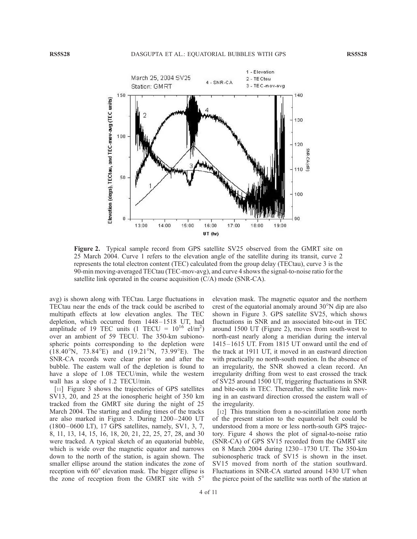

Figure 2. Typical sample record from GPS satellite SV25 observed from the GMRT site on 25 March 2004. Curve 1 refers to the elevation angle of the satellite during its transit, curve 2 represents the total electron content (TEC) calculated from the group delay (TECtau), curve 3 is the 90-min moving-averaged TECtau (TEC-mov-avg), and curve 4 shows the signal-to-noise ratio for the satellite link operated in the coarse acquisition (C/A) mode (SNR-CA).

avg) is shown along with TECtau. Large fluctuations in TECtau near the ends of the track could be ascribed to multipath effects at low elevation angles. The TEC depletion, which occurred from  $1448 - 1518$  UT, had amplitude of 19 TEC units  $(1 \text{ TECU} = 10^{16} \text{ el/m}^2)$ over an ambient of 59 TECU. The 350-km subionospheric points corresponding to the depletion were  $(18.40^{\circ}N, 73.84^{\circ}E)$  and  $(19.21^{\circ}N, 73.99^{\circ}E)$ . The SNR-CA records were clear prior to and after the bubble. The eastern wall of the depletion is found to have a slope of 1.08 TECU/min, while the western wall has a slope of 1.2 TECU/min.

[11] Figure 3 shows the trajectories of GPS satellites SV13, 20, and 25 at the ionospheric height of 350 km tracked from the GMRT site during the night of 25 March 2004. The starting and ending times of the tracks are also marked in Figure 3. During 1200– 2400 UT (1800 – 0600 LT), 17 GPS satellites, namely, SV1, 3, 7, 8, 11, 13, 14, 15, 16, 18, 20, 21, 22, 25, 27, 28, and 30 were tracked. A typical sketch of an equatorial bubble, which is wide over the magnetic equator and narrows down to the north of the station, is again shown. The smaller ellipse around the station indicates the zone of reception with 60° elevation mask. The bigger ellipse is the zone of reception from the GMRT site with 5°

elevation mask. The magnetic equator and the northern crest of the equatorial anomaly around  $30^{\circ}$ N dip are also shown in Figure 3. GPS satellite SV25, which shows fluctuations in SNR and an associated bite-out in TEC around 1500 UT (Figure 2), moves from south-west to north-east nearly along a meridian during the interval 1415 –1615 UT. From 1815 UT onward until the end of the track at 1911 UT, it moved in an eastward direction with practically no north-south motion. In the absence of an irregularity, the SNR showed a clean record. An irregularity drifting from west to east crossed the track of SV25 around 1500 UT, triggering fluctuations in SNR and bite-outs in TEC. Thereafter, the satellite link moving in an eastward direction crossed the eastern wall of the irregularity.

[12] This transition from a no-scintillation zone north of the present station to the equatorial belt could be understood from a more or less north-south GPS trajectory. Figure 4 shows the plot of signal-to-noise ratio (SNR-CA) of GPS SV15 recorded from the GMRT site on 8 March 2004 during 1230 –1730 UT. The 350-km subionospheric track of SV15 is shown in the inset. SV15 moved from north of the station southward. Fluctuations in SNR-CA started around 1430 UT when the pierce point of the satellite was north of the station at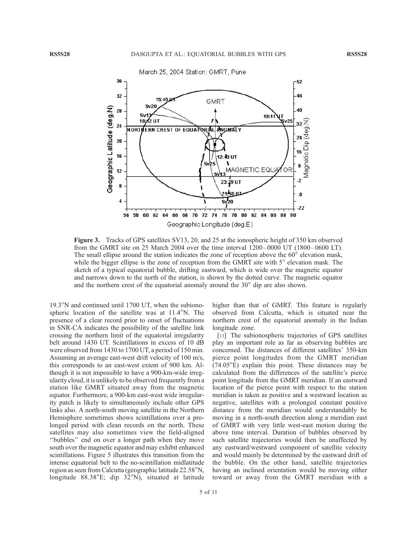

Figure 3. Tracks of GPS satellites SV13, 20, and 25 at the ionospheric height of 350 km observed from the GMRT site on 25 March 2004 over the time interval 1200– 0000 UT (1800 – 0600 LT). The small ellipse around the station indicates the zone of reception above the  $60^\circ$  elevation mask, while the bigger ellipse is the zone of reception from the GMRT site with  $5^\circ$  elevation mask. The sketch of a typical equatorial bubble, drifting eastward, which is wide over the magnetic equator and narrows down to the north of the station, is shown by the dotted curve. The magnetic equator and the northern crest of the equatorial anomaly around the  $30^{\circ}$  dip are also shown.

 $19.3^{\circ}$ N and continued until 1700 UT, when the subionospheric location of the satellite was at  $11.4^\circ$ N. The presence of a clear record prior to onset of fluctuations in SNR-CA indicates the possibility of the satellite link crossing the northern limit of the equatorial irregularity belt around 1430 UT. Scintillations in excess of 10 dB were observed from 1430 to 1700 UT, a period of 150 min. Assuming an average east-west drift velocity of 100 m/s, this corresponds to an east-west extent of 900 km. Although it is not impossible to have a 900-km-wide irregularity cloud, it is unlikely to be observed frequently from a station like GMRT situated away from the magnetic equator. Furthermore, a 900-km east-west wide irregularity patch is likely to simultaneously include other GPS links also. A north-south moving satellite in the Northern Hemisphere sometimes shows scintillations over a prolonged period with clean records on the north. These satellites may also sometimes view the field-aligned ''bubbles'' end on over a longer path when they move south over the magnetic equator and may exhibit enhanced scintillations. Figure 5 illustrates this transition from the intense equatorial belt to the no-scintillation midlatitude region as seen from Calcutta (geographic latitude 22.58<sup>°</sup>N, longitude  $88.38^{\circ}E$ ; dip  $32^{\circ}N$ ), situated at latitude

higher than that of GMRT. This feature is regularly observed from Calcutta, which is situated near the northern crest of the equatorial anomaly in the Indian longitude zone.

[13] The subionospheric trajectories of GPS satellites play an important role as far as observing bubbles are concerned. The distances of different satellites' 350-km pierce point longitudes from the GMRT meridian  $(74.05^{\circ}E)$  explain this point. These distances may be calculated from the differences of the satellite's pierce point longitude from the GMRT meridian. If an eastward location of the pierce point with respect to the station meridian is taken as positive and a westward location as negative, satellites with a prolonged constant positive distance from the meridian would understandably be moving in a north-south direction along a meridian east of GMRT with very little west-east motion during the above time interval. Duration of bubbles observed by such satellite trajectories would then be unaffected by any eastward/westward component of satellite velocity and would mainly be determined by the eastward drift of the bubble. On the other hand, satellite trajectories having an inclined orientation would be moving either toward or away from the GMRT meridian with a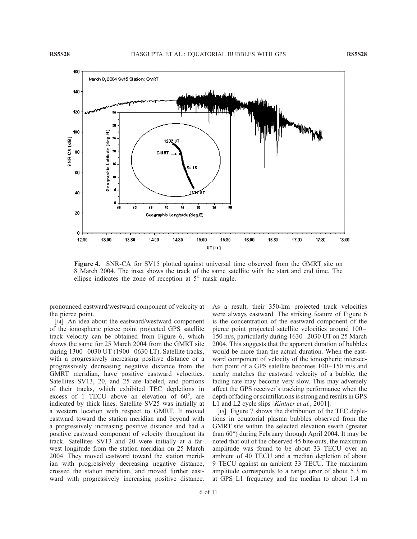

Figure 4. SNR-CA for SV15 plotted against universal time observed from the GMRT site on 8 March 2004. The inset shows the track of the same satellite with the start and end time. The ellipse indicates the zone of reception at  $5^\circ$  mask angle.

pronounced eastward/westward component of velocity at the pierce point.

[14] An idea about the eastward/westward component of the ionospheric pierce point projected GPS satellite track velocity can be obtained from Figure 6, which shows the same for 25 March 2004 from the GMRT site during 1300-0030 UT (1900-0630 LT). Satellite tracks, with a progressively increasing positive distance or a progressively decreasing negative distance from the GMRT meridian, have positive eastward velocities. Satellites SV13, 20, and 25 are labeled, and portions of their tracks, which exhibited TEC depletions in excess of 1 TECU above an elevation of  $60^\circ$ , are indicated by thick lines. Satellite SV25 was initially at a western location with respect to GMRT. It moved eastward toward the station meridian and beyond with a progressively increasing positive distance and had a positive eastward component of velocity throughout its track. Satellites SV13 and 20 were initially at a farwest longitude from the station meridian on 25 March 2004. They moved eastward toward the station meridian with progressively decreasing negative distance, crossed the station meridian, and moved further eastward with progressively increasing positive distance. As a result, their 350-km projected track velocities were always eastward. The striking feature of Figure 6 is the concentration of the eastward component of the pierce point projected satellite velocities around 100 – 150 m/s, particularly during 1630 –2030 UT on 25 March 2004. This suggests that the apparent duration of bubbles would be more than the actual duration. When the eastward component of velocity of the ionospheric intersection point of a GPS satellite becomes  $100-150$  m/s and nearly matches the eastward velocity of a bubble, the fading rate may become very slow. This may adversely affect the GPS receiver's tracking performance when the depth of fading or scintillations is strong and results in GPS L1 and L2 cycle slips [*Kintner et al.*, 2001].

[15] Figure 7 shows the distribution of the TEC depletions in equatorial plasma bubbles observed from the GMRT site within the selected elevation swath (greater than 60°) during February through April 2004. It may be noted that out of the observed 45 bite-outs, the maximum amplitude was found to be about 33 TECU over an ambient of 40 TECU and a median depletion of about 9 TECU against an ambient 33 TECU. The maximum amplitude corresponds to a range error of about 5.3 m at GPS L1 frequency and the median to about 1.4 m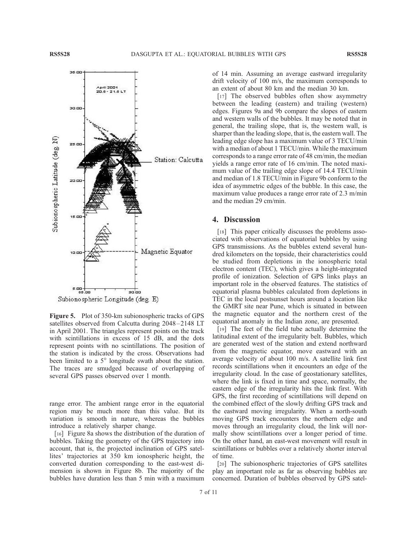

Figure 5. Plot of 350-km subionospheric tracks of GPS satellites observed from Calcutta during 2048-2148 LT in April 2001. The triangles represent points on the track with scintillations in excess of 15 dB, and the dots represent points with no scintillations. The position of the station is indicated by the cross. Observations had been limited to a  $5^\circ$  longitude swath about the station. The traces are smudged because of overlapping of several GPS passes observed over 1 month.

range error. The ambient range error in the equatorial region may be much more than this value. But its variation is smooth in nature, whereas the bubbles introduce a relatively sharper change.

[16] Figure 8a shows the distribution of the duration of bubbles. Taking the geometry of the GPS trajectory into account, that is, the projected inclination of GPS satellites' trajectories at 350 km ionospheric height, the converted duration corresponding to the east-west dimension is shown in Figure 8b. The majority of the bubbles have duration less than 5 min with a maximum

of 14 min. Assuming an average eastward irregularity drift velocity of 100 m/s, the maximum corresponds to an extent of about 80 km and the median 30 km.

[17] The observed bubbles often show asymmetry between the leading (eastern) and trailing (western) edges. Figures 9a and 9b compare the slopes of eastern and western walls of the bubbles. It may be noted that in general, the trailing slope, that is, the western wall, is sharper than the leading slope, that is, the eastern wall. The leading edge slope has a maximum value of 3 TECU/min with a median of about 1 TECU/min. While the maximum corresponds to a range error rate of 48 cm/min, the median yields a range error rate of 16 cm/min. The noted maximum value of the trailing edge slope of 14.4 TECU/min and median of 1.8 TECU/min in Figure 9b conform to the idea of asymmetric edges of the bubble. In this case, the maximum value produces a range error rate of 2.3 m/min and the median 29 cm/min.

# 4. Discussion

[18] This paper critically discusses the problems associated with observations of equatorial bubbles by using GPS transmissions. As the bubbles extend several hundred kilometers on the topside, their characteristics could be studied from depletions in the ionospheric total electron content (TEC), which gives a height-integrated profile of ionization. Selection of GPS links plays an important role in the observed features. The statistics of equatorial plasma bubbles calculated from depletions in TEC in the local postsunset hours around a location like the GMRT site near Pune, which is situated in between the magnetic equator and the northern crest of the equatorial anomaly in the Indian zone, are presented.

[19] The feet of the field tube actually determine the latitudinal extent of the irregularity belt. Bubbles, which are generated west of the station and extend northward from the magnetic equator, move eastward with an average velocity of about 100 m/s. A satellite link first records scintillations when it encounters an edge of the irregularity cloud. In the case of geostationary satellites, where the link is fixed in time and space, normally, the eastern edge of the irregularity hits the link first. With GPS, the first recording of scintillations will depend on the combined effect of the slowly drifting GPS track and the eastward moving irregularity. When a north-south moving GPS track encounters the northern edge and moves through an irregularity cloud, the link will normally show scintillations over a longer period of time. On the other hand, an east-west movement will result in scintillations or bubbles over a relatively shorter interval of time.

[20] The subionospheric trajectories of GPS satellites play an important role as far as observing bubbles are concerned. Duration of bubbles observed by GPS satel-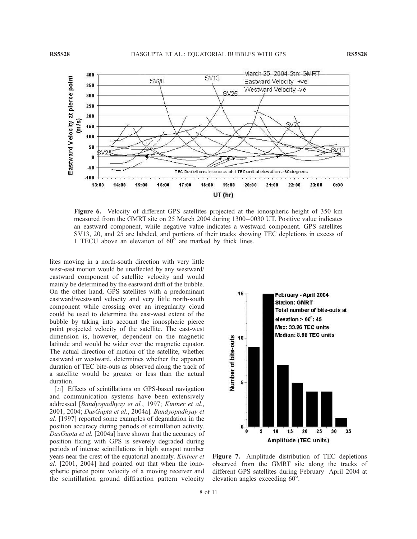

Figure 6. Velocity of different GPS satellites projected at the ionospheric height of 350 km measured from the GMRT site on 25 March 2004 during 1300– 0030 UT. Positive value indicates an eastward component, while negative value indicates a westward component. GPS satellites SV13, 20, and 25 are labeled, and portions of their tracks showing TEC depletions in excess of 1 TECU above an elevation of  $60^\circ$  are marked by thick lines.

lites moving in a north-south direction with very little west-east motion would be unaffected by any westward/ eastward component of satellite velocity and would mainly be determined by the eastward drift of the bubble. On the other hand, GPS satellites with a predominant eastward/westward velocity and very little north-south component while crossing over an irregularity cloud could be used to determine the east-west extent of the bubble by taking into account the ionospheric pierce point projected velocity of the satellite. The east-west dimension is, however, dependent on the magnetic latitude and would be wider over the magnetic equator. The actual direction of motion of the satellite, whether eastward or westward, determines whether the apparent duration of TEC bite-outs as observed along the track of a satellite would be greater or less than the actual duration.

[21] Effects of scintillations on GPS-based navigation and communication systems have been extensively addressed [Bandyopadhyay et al., 1997; Kintner et al., 2001, 2004; DasGupta et al., 2004a]. Bandyopadhyay et al. [1997] reported some examples of degradation in the position accuracy during periods of scintillation activity. DasGupta et al. [2004a] have shown that the accuracy of position fixing with GPS is severely degraded during periods of intense scintillations in high sunspot number years near the crest of the equatorial anomaly. Kintner et al. [2001, 2004] had pointed out that when the ionospheric pierce point velocity of a moving receiver and the scintillation ground diffraction pattern velocity



Figure 7. Amplitude distribution of TEC depletions observed from the GMRT site along the tracks of different GPS satellites during February-April 2004 at elevation angles exceeding 60°.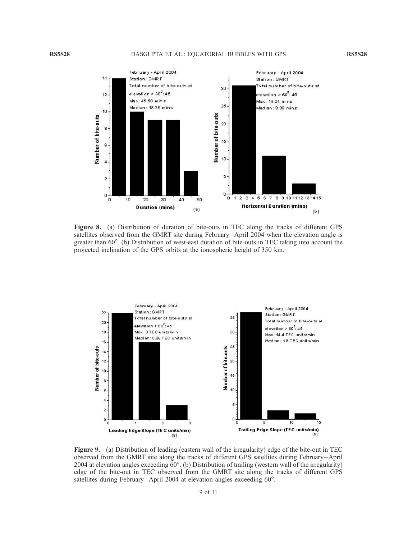

Figure 8. (a) Distribution of duration of bite-outs in TEC along the tracks of different GPS satellites observed from the GMRT site during February –April 2004 when the elevation angle is greater than 60°. (b) Distribution of west-east duration of bite-outs in TEC taking into account the projected inclination of the GPS orbits at the ionospheric height of 350 km.



Figure 9. (a) Distribution of leading (eastern wall of the irregularity) edge of the bite-out in TEC observed from the GMRT site along the tracks of different GPS satellites during February –April 2004 at elevation angles exceeding  $60^\circ$ . (b) Distribution of trailing (western wall of the irregularity) edge of the bite-out in TEC observed from the GMRT site along the tracks of different GPS satellites during February-April 2004 at elevation angles exceeding 60°.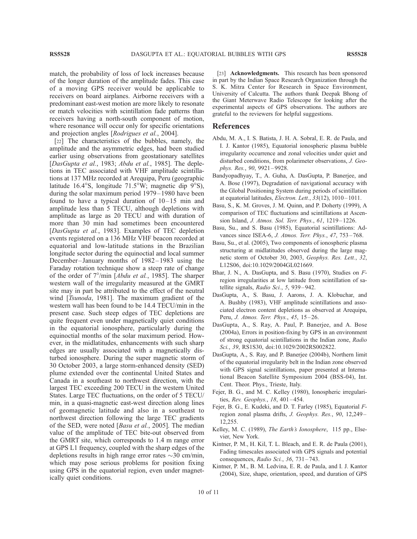match, the probability of loss of lock increases because of the longer duration of the amplitude fades. This case of a moving GPS receiver would be applicable to receivers on board airplanes. Airborne receivers with a predominant east-west motion are more likely to resonate or match velocities with scintillation fade patterns than receivers having a north-south component of motion, where resonance will occur only for specific orientations and projection angles [Rodrigues et al., 2004].

[22] The characteristics of the bubbles, namely, the amplitude and the asymmetric edges, had been studied earlier using observations from geostationary satellites [DasGupta et al., 1983; Abdu et al., 1985]. The depletions in TEC associated with VHF amplitude scintillations at 137 MHz recorded at Arequipa, Peru (geographic latitude 16.4°S, longitude 71.5°W; magnetic dip  $9^{\circ}$ S), during the solar maximum period 1979– 1980 have been found to have a typical duration of  $10-15$  min and amplitude less than 5 TECU, although depletions with amplitude as large as 20 TECU and with duration of more than 30 min had sometimes been encountered [DasGupta et al., 1983]. Examples of TEC depletion events registered on a 136 MHz VHF beacon recorded at equatorial and low-latitude stations in the Brazilian longitude sector during the equinoctial and local summer December-January months of 1982-1983 using the Faraday rotation technique show a steep rate of change of the order of  $7^{\circ}/\text{min}$  [*Abdu et al.*, 1985]. The sharper western wall of the irregularity measured at the GMRT site may in part be attributed to the effect of the neutral wind [*Tsunoda*, 1981]. The maximum gradient of the western wall has been found to be 14.4 TECU/min in the present case. Such steep edges of TEC depletions are quite frequent even under magnetically quiet conditions in the equatorial ionosphere, particularly during the equinoctial months of the solar maximum period. However, in the midlatitudes, enhancements with such sharp edges are usually associated with a magnetically disturbed ionosphere. During the super magnetic storm of 30 October 2003, a large storm-enhanced density (SED) plume extended over the continental United States and Canada in a southeast to northwest direction, with the largest TEC exceeding 200 TECU in the western United States. Large TEC fluctuations, on the order of 5 TECU/ min, in a quasi-magnetic east-west direction along lines of geomagnetic latitude and also in a southeast to northwest direction following the large TEC gradients of the SED, were noted [Basu et al., 2005]. The median value of the amplitude of TEC bite-out observed from the GMRT site, which corresponds to 1.4 m range error at GPS L1 frequency, coupled with the sharp edges of the depletions results in high range error rates  $\sim$ 30 cm/min, which may pose serious problems for position fixing using GPS in the equatorial region, even under magnetically quiet conditions.

[23] **Acknowledgments.** This research has been sponsored in part by the Indian Space Research Organization through the S. K. Mitra Center for Research in Space Environment, University of Calcutta. The authors thank Deepak Bhong of the Giant Meterwave Radio Telescope for looking after the experimental aspects of GPS observations. The authors are grateful to the reviewers for helpful suggestions.

### References

- Abdu, M. A., I. S. Batista, J. H. A. Sobral, E. R. de Paula, and I. J. Kantor (1985), Equatorial ionospheric plasma bubble irregularity occurrence and zonal velocities under quiet and disturbed conditions, from polarimeter observations, J. Geophys. Res., 90, 9921-9928.
- Bandyopadhyay, T., A. Guha, A. DasGupta, P. Banerjee, and A. Bose (1997), Degradation of navigational accuracy with the Global Positioning System during periods of scintillation at equatorial latitudes, Electron. Lett., 33(12), 1010-1011.
- Basu, S., K. M. Groves, J. M. Quinn, and P. Doherty (1999), A comparison of TEC fluctuations and scintillations at Ascension Island, J. Atmos. Sol. Terr. Phys., 61, 1219 – 1226.
- Basu, Su., and S. Basu (1985), Equatorial scintillations: Advances since ISEA-6, *J. Atmos. Terr. Phys.*, 47, 753-768.
- Basu, Su., et al. (2005), Two components of ionospheric plasma structuring at midlatitudes observed during the large magnetic storm of October 30, 2003, Geophys. Res. Lett., 32, L12S06, doi:10.1029/2004GL021669.
- Bhar, J. N., A. DasGupta, and S. Basu (1970), Studies on Fregion irregularities at low latitude from scintillation of satellite signals, Radio Sci., 5, 939-942.
- DasGupta, A., S. Basu, J. Aarons, J. A. Klobuchar, and A. Bushby (1983), VHF amplitude scintillations and associated electron content depletions as observed at Arequipa, Peru, *J. Atmos. Terr. Phys.*, 45, 15-26.
- DasGupta, A., S. Ray, A. Paul, P. Banerjee, and A. Bose (2004a), Errors in position-fixing by GPS in an environment of strong equatorial scintillations in the Indian zone, Radio Sci., 39, RS1S30, doi:10.1029/2002RS002822.
- DasGupta, A., S. Ray, and P. Banerjee (2004b), Northern limit of the equatorial irregularity belt in the Indian zone observed with GPS signal scintillations, paper presented at International Beacon Satellite Symposium 2004 (BSS-04), Int. Cent. Theor. Phys., Trieste, Italy.
- Fejer, B. G., and M. C. Kelley (1980), Ionospheric irregularities, Rev. Geophys., 18, 401-454.
- Fejer, B. G., E. Kudeki, and D. T. Farley (1985), Equatorial Fregion zonal plasma drifts, J. Geophys. Res., 90, 12,249 – 12,255.
- Kelley, M. C. (1989), The Earth's Ionosphere, 115 pp., Elsevier, New York.
- Kintner, P. M., H. Kil, T. L. Bleach, and E. R. de Paula (2001), Fading timescales associated with GPS signals and potential consequences, Radio Sci., 36, 731-743.
- Kintner, P. M., B. M. Ledvina, E. R. de Paula, and I. J. Kantor (2004), Size, shape, orientation, speed, and duration of GPS